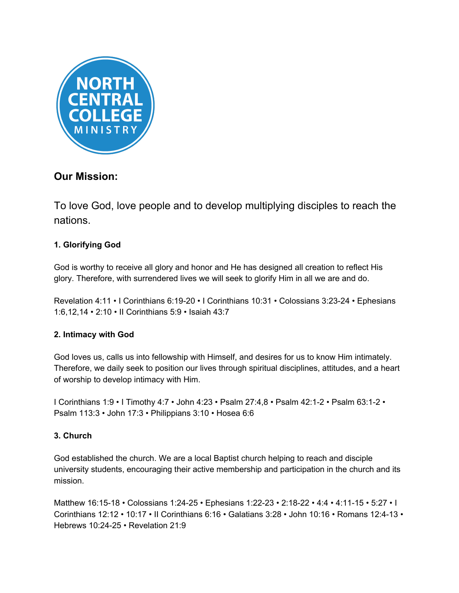

# **Our Mission:**

To love God, love people and to develop multiplying disciples to reach the nations.

# **1. Glorifying God**

God is worthy to receive all glory and honor and He has designed all creation to reflect His glory. Therefore, with surrendered lives we will seek to glorify Him in all we are and do.

Revelation 4:11 • I Corinthians 6:19-20 • I Corinthians 10:31 • Colossians 3:23-24 • Ephesians 1:6,12,14 • 2:10 • II Corinthians 5:9 • Isaiah 43:7

# **2. Intimacy with God**

God loves us, calls us into fellowship with Himself, and desires for us to know Him intimately. Therefore, we daily seek to position our lives through spiritual disciplines, attitudes, and a heart of worship to develop intimacy with Him.

I Corinthians 1:9 • I Timothy 4:7 • John 4:23 • Psalm 27:4,8 • Psalm 42:1-2 • Psalm 63:1-2 • Psalm 113:3 • John 17:3 • Philippians 3:10 • Hosea 6:6

# **3. Church**

God established the church. We are a local Baptist church helping to reach and disciple university students, encouraging their active membership and participation in the church and its mission.

Matthew 16:15-18 • Colossians 1:24-25 • Ephesians 1:22-23 • 2:18-22 • 4:4 • 4:11-15 • 5:27 • I Corinthians 12:12 • 10:17 • II Corinthians 6:16 • Galatians 3:28 • John 10:16 • Romans 12:4-13 • Hebrews 10:24-25 • Revelation 21:9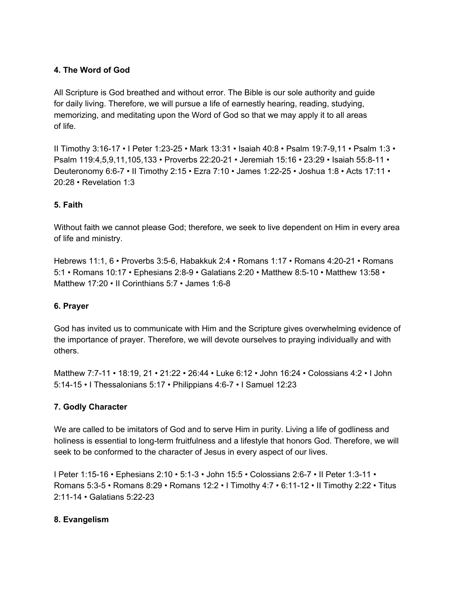# **4. The Word of God**

All Scripture is God breathed and without error. The Bible is our sole authority and guide for daily living. Therefore, we will pursue a life of earnestly hearing, reading, studying, memorizing, and meditating upon the Word of God so that we may apply it to all areas of life.

II Timothy 3:16-17 • I Peter 1:23-25 • Mark 13:31 • Isaiah 40:8 • Psalm 19:7-9,11 • Psalm 1:3 • Psalm 119:4,5,9,11,105,133 • Proverbs 22:20-21 • Jeremiah 15:16 • 23:29 • Isaiah 55:8-11 • Deuteronomy 6:6-7 • II Timothy 2:15 • Ezra 7:10 • James 1:22-25 • Joshua 1:8 • Acts 17:11 • 20:28 • Revelation 1:3

# **5. Faith**

Without faith we cannot please God; therefore, we seek to live dependent on Him in every area of life and ministry.

Hebrews 11:1, 6 • Proverbs 3:5-6, Habakkuk 2:4 • Romans 1:17 • Romans 4:20-21 • Romans 5:1 • Romans 10:17 • Ephesians 2:8-9 • Galatians 2:20 • Matthew 8:5-10 • Matthew 13:58 • Matthew 17:20 • II Corinthians 5:7 • James 1:6-8

#### **6. Prayer**

God has invited us to communicate with Him and the Scripture gives overwhelming evidence of the importance of prayer. Therefore, we will devote ourselves to praying individually and with others.

Matthew 7:7-11 • 18:19, 21 • 21:22 • 26:44 • Luke 6:12 • John 16:24 • Colossians 4:2 • I John 5:14-15 • I Thessalonians 5:17 • Philippians 4:6-7 • I Samuel 12:23

# **7. Godly Character**

We are called to be imitators of God and to serve Him in purity. Living a life of godliness and holiness is essential to long-term fruitfulness and a lifestyle that honors God. Therefore, we will seek to be conformed to the character of Jesus in every aspect of our lives.

I Peter 1:15-16 • Ephesians 2:10 • 5:1-3 • John 15:5 • Colossians 2:6-7 • II Peter 1:3-11 • Romans 5:3-5 • Romans 8:29 • Romans 12:2 • I Timothy 4:7 • 6:11-12 • II Timothy 2:22 • Titus 2:11-14 • Galatians 5:22-23

#### **8. Evangelism**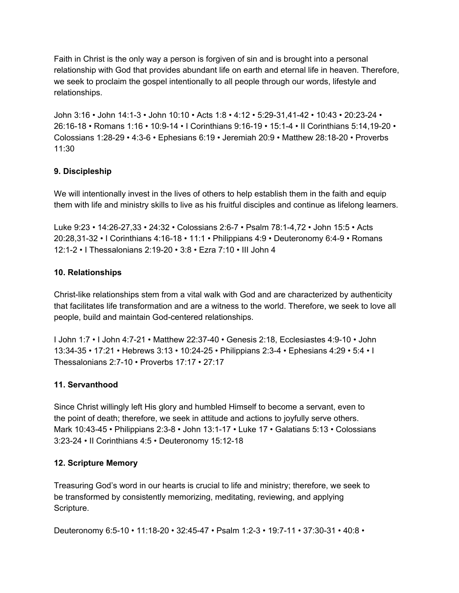Faith in Christ is the only way a person is forgiven of sin and is brought into a personal relationship with God that provides abundant life on earth and eternal life in heaven. Therefore, we seek to proclaim the gospel intentionally to all people through our words, lifestyle and relationships.

John 3:16 • John 14:1-3 • John 10:10 • Acts 1:8 • 4:12 • 5:29-31,41-42 • 10:43 • 20:23-24 • 26:16-18 • Romans 1:16 • 10:9-14 • I Corinthians 9:16-19 • 15:1-4 • II Corinthians 5:14,19-20 • Colossians 1:28-29 • 4:3-6 • Ephesians 6:19 • Jeremiah 20:9 • Matthew 28:18-20 • Proverbs 11:30

# **9. Discipleship**

We will intentionally invest in the lives of others to help establish them in the faith and equip them with life and ministry skills to live as his fruitful disciples and continue as lifelong learners.

Luke 9:23 • 14:26-27,33 • 24:32 • Colossians 2:6-7 • Psalm 78:1-4,72 • John 15:5 • Acts 20:28,31-32 • I Corinthians 4:16-18 • 11:1 • Philippians 4:9 • Deuteronomy 6:4-9 • Romans 12:1-2 • I Thessalonians 2:19-20 • 3:8 • Ezra 7:10 • III John 4

# **10. Relationships**

Christ-like relationships stem from a vital walk with God and are characterized by authenticity that facilitates life transformation and are a witness to the world. Therefore, we seek to love all people, build and maintain God-centered relationships.

I John 1:7 • I John 4:7-21 • Matthew 22:37-40 • Genesis 2:18, Ecclesiastes 4:9-10 • John 13:34-35 • 17:21 • Hebrews 3:13 • 10:24-25 • Philippians 2:3-4 • Ephesians 4:29 • 5:4 • I Thessalonians 2:7-10 • Proverbs 17:17 • 27:17

# **11. Servanthood**

Since Christ willingly left His glory and humbled Himself to become a servant, even to the point of death; therefore, we seek in attitude and actions to joyfully serve others. Mark 10:43-45 • Philippians 2:3-8 • John 13:1-17 • Luke 17 • Galatians 5:13 • Colossians 3:23-24 • II Corinthians 4:5 • Deuteronomy 15:12-18

# **12. Scripture Memory**

Treasuring God's word in our hearts is crucial to life and ministry; therefore, we seek to be transformed by consistently memorizing, meditating, reviewing, and applying Scripture.

Deuteronomy 6:5-10 • 11:18-20 • 32:45-47 • Psalm 1:2-3 • 19:7-11 • 37:30-31 • 40:8 •